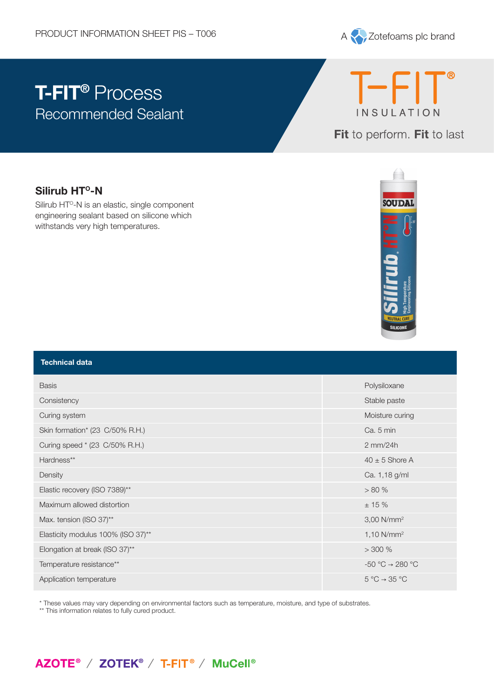

# **T-FIT®** Process Recommended Sealant



Fit to perform. Fit to last

### **Silirub HT<sup>o</sup>-N**

Silirub HT<sup>o</sup>-N is an elastic, single component engineering sealant based on silicone which withstands very high temperatures.



| <b>Technical data</b>              |                                      |
|------------------------------------|--------------------------------------|
| <b>Basis</b>                       | Polysiloxane                         |
| Consistency                        | Stable paste                         |
| Curing system                      | Moisture curing                      |
| Skin formation* (23 C/50% R.H.)    | Ca. 5 min                            |
| Curing speed * (23 C/50% R.H.)     | $2$ mm/24h                           |
| Hardness**                         | $40 \pm 5$ Shore A                   |
| Density                            | Ca. 1,18 g/ml                        |
| Elastic recovery (ISO 7389)**      | > 80%                                |
| Maximum allowed distortion         | ± 15%                                |
| Max. tension (ISO 37)**            | $3,00$ N/mm <sup>2</sup>             |
| Elasticity modulus 100% (ISO 37)** | 1,10 $N/mm^2$                        |
| Elongation at break (ISO 37)**     | $>$ 300 %                            |
| Temperature resistance**           | $-50 °C \rightarrow 280 °C$          |
| Application temperature            | $5^{\circ}C \rightarrow 35^{\circ}C$ |

\* These values may vary depending on environmental factors such as temperature, moisture, and type of substrates.

\*\* This information relates to fully cured product.

## AZOTE<sup>®</sup> / ZOTEK<sup>®</sup> / T-FIT<sup>®</sup> / MuCell<sup>®</sup>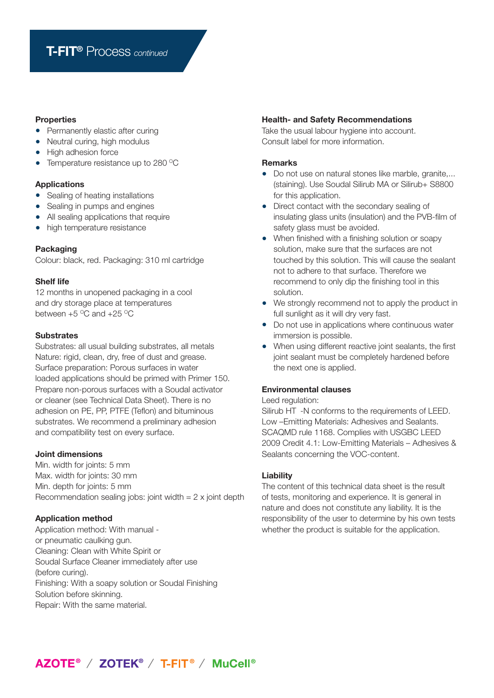#### **Properties**

- **•** Permanently elastic after curing
- Neutral curing, high modulus
- **•** High adhesion force
- Temperature resistance up to 280 °C

#### **Applications**

- **•** Sealing of heating installations
- **•** Sealing in pumps and engines
- **•** All sealing applications that require
- **•** high temperature resistance

#### **Packaging**

Colour: black, red. Packaging: 310 ml cartridge

#### **Shelf life**

12 months in unopened packaging in a cool and dry storage place at temperatures between  $+5$  °C and  $+25$  °C

#### **Substrates**

Substrates: all usual building substrates, all metals Nature: rigid, clean, dry, free of dust and grease. Surface preparation: Porous surfaces in water loaded applications should be primed with Primer 150. Prepare non-porous surfaces with a Soudal activator or cleaner (see Technical Data Sheet). There is no adhesion on PE, PP, PTFE (Teflon) and bituminous substrates. We recommend a preliminary adhesion and compatibility test on every surface.

#### **Joint dimensions**

Min. width for joints: 5 mm Max. width for joints: 30 mm Min. depth for joints: 5 mm Recommendation sealing jobs: joint width  $= 2x$  joint depth

#### **Application method**

Application method: With manual or pneumatic caulking gun. Cleaning: Clean with White Spirit or Soudal Surface Cleaner immediately after use (before curing). Finishing: With a soapy solution or Soudal Finishing Solution before skinning. Repair: With the same material.

#### **Health- and Safety Recommendations**

Take the usual labour hygiene into account. Consult label for more information.

#### **Remarks**

- **•** Do not use on natural stones like marble, granite,... (staining). Use Soudal Silirub MA or Silirub+ S8800 for this application.
- **•** Direct contact with the secondary sealing of insulating glass units (insulation) and the PVB-film of safety glass must be avoided.
- **•** When finished with a finishing solution or soapy solution, make sure that the surfaces are not touched by this solution. This will cause the sealant not to adhere to that surface. Therefore we recommend to only dip the finishing tool in this solution.
- **•** We strongly recommend not to apply the product in full sunlight as it will dry very fast.
- **•** Do not use in applications where continuous water immersion is possible.
- **•** When using different reactive joint sealants, the first joint sealant must be completely hardened before the next one is applied.

#### **Environmental clauses**

#### Leed regulation:

Silirub HT -N conforms to the requirements of LEED. Low –Emitting Materials: Adhesives and Sealants. SCAQMD rule 1168. Complies with USGBC LEED 2009 Credit 4.1: Low-Emitting Materials – Adhesives & Sealants concerning the VOC-content.

#### **Liability**

The content of this technical data sheet is the result of tests, monitoring and experience. It is general in nature and does not constitute any liability. It is the responsibility of the user to determine by his own tests whether the product is suitable for the application.